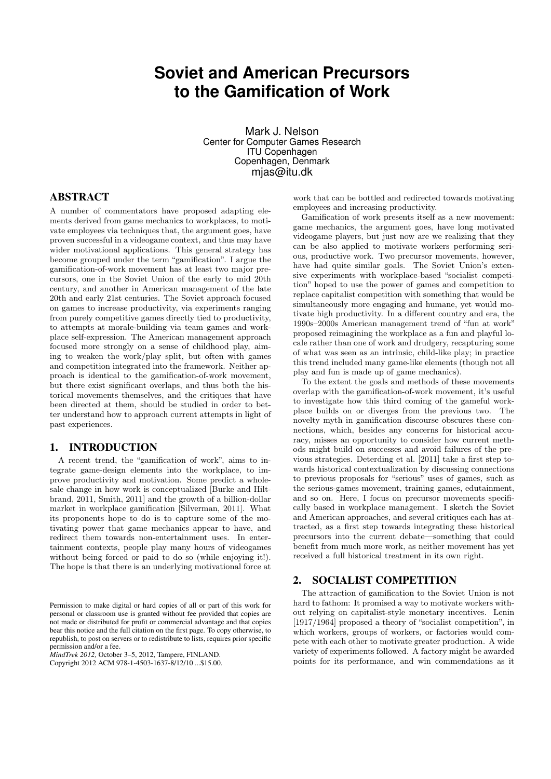# **Soviet and American Precursors to the Gamification of Work**

Mark J. Nelson Center for Computer Games Research ITU Copenhagen Copenhagen, Denmark mias@itu.dk

# ABSTRACT

A number of commentators have proposed adapting elements derived from game mechanics to workplaces, to motivate employees via techniques that, the argument goes, have proven successful in a videogame context, and thus may have wider motivational applications. This general strategy has become grouped under the term "gamification". I argue the gamification-of-work movement has at least two major precursors, one in the Soviet Union of the early to mid 20th century, and another in American management of the late 20th and early 21st centuries. The Soviet approach focused on games to increase productivity, via experiments ranging from purely competitive games directly tied to productivity, to attempts at morale-building via team games and workplace self-expression. The American management approach focused more strongly on a sense of childhood play, aiming to weaken the work/play split, but often with games and competition integrated into the framework. Neither approach is identical to the gamification-of-work movement, but there exist significant overlaps, and thus both the historical movements themselves, and the critiques that have been directed at them, should be studied in order to better understand how to approach current attempts in light of past experiences.

## 1. INTRODUCTION

A recent trend, the "gamification of work", aims to integrate game-design elements into the workplace, to improve productivity and motivation. Some predict a wholesale change in how work is conceptualized [Burke and Hiltbrand, 2011, Smith, 2011] and the growth of a billion-dollar market in workplace gamification [Silverman, 2011]. What its proponents hope to do is to capture some of the motivating power that game mechanics appear to have, and redirect them towards non-entertainment uses. In entertainment contexts, people play many hours of videogames without being forced or paid to do so (while enjoying it!). The hope is that there is an underlying motivational force at

*MindTrek 2012,* October 3–5, 2012, Tampere, FINLAND.

Copyright 2012 ACM 978-1-4503-1637-8/12/10 ...\$15.00.

work that can be bottled and redirected towards motivating employees and increasing productivity.

Gamification of work presents itself as a new movement: game mechanics, the argument goes, have long motivated videogame players, but just now are we realizing that they can be also applied to motivate workers performing serious, productive work. Two precursor movements, however, have had quite similar goals. The Soviet Union's extensive experiments with workplace-based "socialist competition" hoped to use the power of games and competition to replace capitalist competition with something that would be simultaneously more engaging and humane, yet would motivate high productivity. In a different country and era, the 1990s–2000s American management trend of "fun at work" proposed reimagining the workplace as a fun and playful locale rather than one of work and drudgery, recapturing some of what was seen as an intrinsic, child-like play; in practice this trend included many game-like elements (though not all play and fun is made up of game mechanics).

To the extent the goals and methods of these movements overlap with the gamification-of-work movement, it's useful to investigate how this third coming of the gameful workplace builds on or diverges from the previous two. The novelty myth in gamification discourse obscures these connections, which, besides any concerns for historical accuracy, misses an opportunity to consider how current methods might build on successes and avoid failures of the previous strategies. Deterding et al. [2011] take a first step towards historical contextualization by discussing connections to previous proposals for "serious" uses of games, such as the serious-games movement, training games, edutainment, and so on. Here, I focus on precursor movements specifically based in workplace management. I sketch the Soviet and American approaches, and several critiques each has attracted, as a first step towards integrating these historical precursors into the current debate—something that could benefit from much more work, as neither movement has yet received a full historical treatment in its own right.

## 2. SOCIALIST COMPETITION

The attraction of gamification to the Soviet Union is not hard to fathom: It promised a way to motivate workers without relying on capitalist-style monetary incentives. Lenin [1917/1964] proposed a theory of "socialist competition", in which workers, groups of workers, or factories would compete with each other to motivate greater production. A wide variety of experiments followed. A factory might be awarded points for its performance, and win commendations as it

Permission to make digital or hard copies of all or part of this work for personal or classroom use is granted without fee provided that copies are not made or distributed for profit or commercial advantage and that copies bear this notice and the full citation on the first page. To copy otherwise, to republish, to post on servers or to redistribute to lists, requires prior specific permission and/or a fee.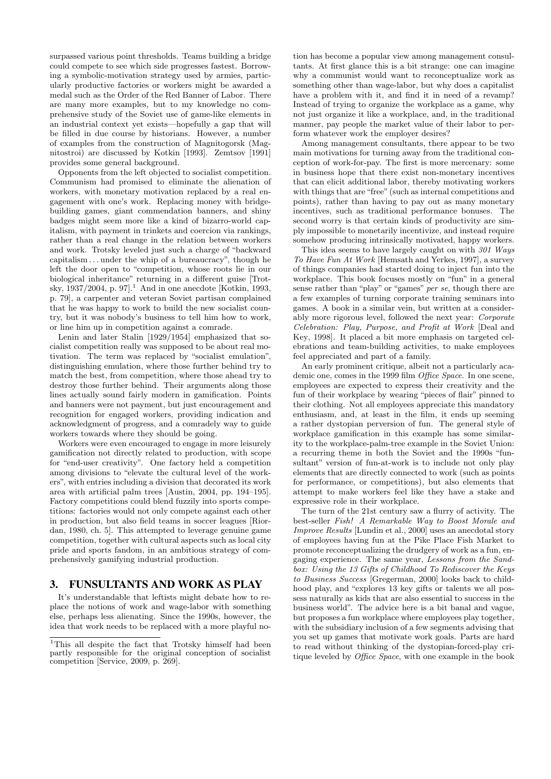surpassed various point thresholds. Teams building a bridge could compete to see which side progresses fastest. Borrowing a symbolic-motivation strategy used by armies, particularly productive factories or workers might be awarded a medal such as the Order of the Red Banner of Labor. There are many more examples, but to my knowledge no comprehensive study of the Soviet use of game-like elements in an industrial context yet exists—hopefully a gap that will be filled in due course by historians. However, a number of examples from the construction of Magnitogorsk (Magnitostroi) are discussed by Kotkin [1993]. Zemtsov [1991] provides some general background.

Opponents from the left objected to socialist competition. Communism had promised to eliminate the alienation of workers, with monetary motivation replaced by a real engagement with one's work. Replacing money with bridgebuilding games, giant commendation banners, and shiny badges might seem more like a kind of bizarro-world capitalism, with payment in trinkets and coercion via rankings, rather than a real change in the relation between workers and work. Trotsky leveled just such a charge of "backward capitalism  $\dots$  under the whip of a bureaucracy", though he left the door open to "competition, whose roots lie in our biological inheritance" returning in a different guise [Trotsky,  $1937/2004$ , p. 97.<sup>1</sup> And in one anecdote [Kotkin, 1993, p. 79], a carpenter and veteran Soviet partisan complained that he was happy to work to build the new socialist country, but it was nobody's business to tell him how to work, or line him up in competition against a comrade.

Lenin and later Stalin [1929/1954] emphasized that socialist competition really was supposed to be about real motivation. The term was replaced by "socialist emulation", distinguishing emulation, where those further behind try to match the best, from competition, where those ahead try to destroy those further behind. Their arguments along those lines actually sound fairly modern in gamification. Points and banners were not payment, but just encouragement and recognition for engaged workers, providing indication and acknowledgment of progress, and a comradely way to guide workers towards where they should be going.

Workers were even encouraged to engage in more leisurely gamification not directly related to production, with scope for "end-user creativity". One factory held a competition among divisions to "elevate the cultural level of the workers", with entries including a division that decorated its work area with artificial palm trees [Austin, 2004, pp. 194–195]. Factory competitions could blend fuzzily into sports competitions: factories would not only compete against each other in production, but also field teams in soccer leagues [Riordan, 1980, ch. 5]. This attempted to leverage genuine game competition, together with cultural aspects such as local city pride and sports fandom, in an ambitious strategy of comprehensively gamifying industrial production.

# 3. FUNSULTANTS AND WORK AS PLAY

It's understandable that leftists might debate how to replace the notions of work and wage-labor with something else, perhaps less alienating. Since the 1990s, however, the idea that work needs to be replaced with a more playful no-

tion has become a popular view among management consultants. At first glance this is a bit strange: one can imagine why a communist would want to reconceptualize work as something other than wage-labor, but why does a capitalist have a problem with it, and find it in need of a revamp? Instead of trying to organize the workplace as a game, why not just organize it like a workplace, and, in the traditional manner, pay people the market value of their labor to perform whatever work the employer desires?

Among management consultants, there appear to be two main motivations for turning away from the traditional conception of work-for-pay. The first is more mercenary: some in business hope that there exist non-monetary incentives that can elicit additional labor, thereby motivating workers with things that are "free" (such as internal competitions and points), rather than having to pay out as many monetary incentives, such as traditional performance bonuses. The second worry is that certain kinds of productivity are simply impossible to monetarily incentivize, and instead require somehow producing intrinsically motivated, happy workers.

This idea seems to have largely caught on with 301 Ways To Have Fun At Work [Hemsath and Yerkes, 1997], a survey of things companies had started doing to inject fun into the workplace. This book focuses mostly on "fun" in a general sense rather than "play" or "games" per se, though there are a few examples of turning corporate training seminars into games. A book in a similar vein, but written at a considerably more rigorous level, followed the next year: Corporate Celebration: Play, Purpose, and Profit at Work [Deal and Key, 1998]. It placed a bit more emphasis on targeted celebrations and team-building activities, to make employees feel appreciated and part of a family.

An early prominent critique, albeit not a particularly academic one, comes in the 1999 film *Office Space*. In one scene, employees are expected to express their creativity and the fun of their workplace by wearing "pieces of flair" pinned to their clothing. Not all employees appreciate this mandatory enthusiasm, and, at least in the film, it ends up seeming a rather dystopian perversion of fun. The general style of workplace gamification in this example has some similarity to the workplace-palm-tree example in the Soviet Union: a recurring theme in both the Soviet and the 1990s "funsultant" version of fun-at-work is to include not only play elements that are directly connected to work (such as points for performance, or competitions), but also elements that attempt to make workers feel like they have a stake and expressive role in their workplace.

The turn of the 21st century saw a flurry of activity. The best-seller Fish! A Remarkable Way to Boost Morale and Improve Results [Lundin et al., 2000] uses an anecdotal story of employees having fun at the Pike Place Fish Market to promote reconceptualizing the drudgery of work as a fun, engaging experience. The same year, Lessons from the Sandbox: Using the 13 Gifts of Childhood To Rediscover the Keys to Business Success [Gregerman, 2000] looks back to childhood play, and "explores 13 key gifts or talents we all possess naturally as kids that are also essential to success in the business world". The advice here is a bit banal and vague, but proposes a fun workplace where employees play together, with the subsidiary inclusion of a few segments advising that you set up games that motivate work goals. Parts are hard to read without thinking of the dystopian-forced-play critique leveled by Office Space, with one example in the book

<sup>&</sup>lt;sup>1</sup>This all despite the fact that Trotsky himself had been partly responsible for the original conception of socialist competition [Service, 2009, p. 269].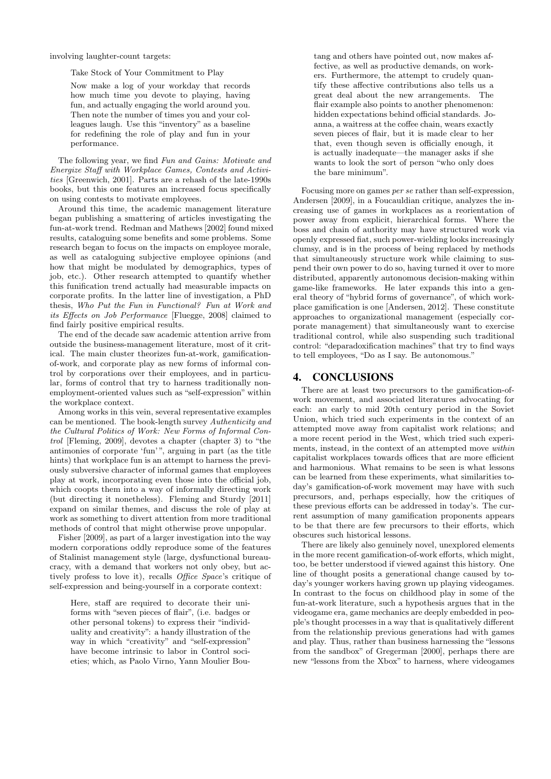involving laughter-count targets:

Take Stock of Your Commitment to Play

Now make a log of your workday that records how much time you devote to playing, having fun, and actually engaging the world around you. Then note the number of times you and your colleagues laugh. Use this "inventory" as a baseline for redefining the role of play and fun in your performance.

The following year, we find Fun and Gains: Motivate and Energize Staff with Workplace Games, Contests and Activities [Greenwich, 2001]. Parts are a rehash of the late-1990s books, but this one features an increased focus specifically on using contests to motivate employees.

Around this time, the academic management literature began publishing a smattering of articles investigating the fun-at-work trend. Redman and Mathews [2002] found mixed results, cataloguing some benefits and some problems. Some research began to focus on the impacts on employee morale, as well as cataloguing subjective employee opinions (and how that might be modulated by demographics, types of job, etc.). Other research attempted to quantify whether this funification trend actually had measurable impacts on corporate profits. In the latter line of investigation, a PhD thesis, Who Put the Fun in Functional? Fun at Work and its Effects on Job Performance [Fluegge, 2008] claimed to find fairly positive empirical results.

The end of the decade saw academic attention arrive from outside the business-management literature, most of it critical. The main cluster theorizes fun-at-work, gamificationof-work, and corporate play as new forms of informal control by corporations over their employees, and in particular, forms of control that try to harness traditionally nonemployment-oriented values such as "self-expression" within the workplace context.

Among works in this vein, several representative examples can be mentioned. The book-length survey Authenticity and the Cultural Politics of Work: New Forms of Informal Control [Fleming, 2009], devotes a chapter (chapter 3) to "the antimonies of corporate 'fun' ", arguing in part (as the title hints) that workplace fun is an attempt to harness the previously subversive character of informal games that employees play at work, incorporating even those into the official job, which coopts them into a way of informally directing work (but directing it nonetheless). Fleming and Sturdy [2011] expand on similar themes, and discuss the role of play at work as something to divert attention from more traditional methods of control that might otherwise prove unpopular.

Fisher [2009], as part of a larger investigation into the way modern corporations oddly reproduce some of the features of Stalinist management style (large, dysfunctional bureaucracy, with a demand that workers not only obey, but actively profess to love it), recalls Office Space's critique of self-expression and being-yourself in a corporate context:

Here, staff are required to decorate their uniforms with "seven pieces of flair", (i.e. badges or other personal tokens) to express their "individuality and creativity": a handy illustration of the way in which "creativity" and "self-expression" have become intrinsic to labor in Control societies; which, as Paolo Virno, Yann Moulier Boutang and others have pointed out, now makes affective, as well as productive demands, on workers. Furthermore, the attempt to crudely quantify these affective contributions also tells us a great deal about the new arrangements. The flair example also points to another phenomenon: hidden expectations behind official standards. Joanna, a waitress at the coffee chain, wears exactly seven pieces of flair, but it is made clear to her that, even though seven is officially enough, it is actually inadequate—the manager asks if she wants to look the sort of person "who only does the bare minimum".

Focusing more on games per se rather than self-expression, Andersen [2009], in a Foucauldian critique, analyzes the increasing use of games in workplaces as a reorientation of power away from explicit, hierarchical forms. Where the boss and chain of authority may have structured work via openly expressed fiat, such power-wielding looks increasingly clumsy, and is in the process of being replaced by methods that simultaneously structure work while claiming to suspend their own power to do so, having turned it over to more distributed, apparently autonomous decision-making within game-like frameworks. He later expands this into a general theory of "hybrid forms of governance", of which workplace gamification is one [Andersen, 2012]. These constitute approaches to organizational management (especially corporate management) that simultaneously want to exercise traditional control, while also suspending such traditional control: "deparadoxification machines" that try to find ways to tell employees, "Do as I say. Be autonomous."

### 4. CONCLUSIONS

There are at least two precursors to the gamification-ofwork movement, and associated literatures advocating for each: an early to mid 20th century period in the Soviet Union, which tried such experiments in the context of an attempted move away from capitalist work relations; and a more recent period in the West, which tried such experiments, instead, in the context of an attempted move within capitalist workplaces towards offices that are more efficient and harmonious. What remains to be seen is what lessons can be learned from these experiments, what similarities today's gamification-of-work movement may have with such precursors, and, perhaps especially, how the critiques of these previous efforts can be addressed in today's. The current assumption of many gamification proponents appears to be that there are few precursors to their efforts, which obscures such historical lessons.

There are likely also genuinely novel, unexplored elements in the more recent gamification-of-work efforts, which might, too, be better understood if viewed against this history. One line of thought posits a generational change caused by today's younger workers having grown up playing videogames. In contrast to the focus on childhood play in some of the fun-at-work literature, such a hypothesis argues that in the videogame era, game mechanics are deeply embedded in people's thought processes in a way that is qualitatively different from the relationship previous generations had with games and play. Thus, rather than business harnessing the "lessons from the sandbox" of Gregerman [2000], perhaps there are new "lessons from the Xbox" to harness, where videogames